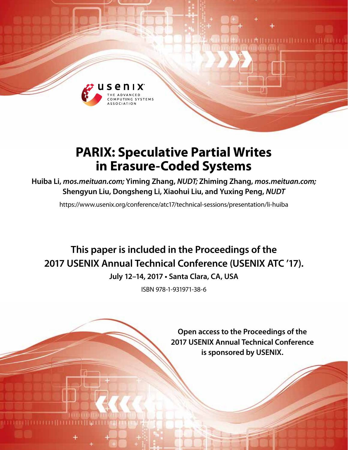

# **PARIX: Speculative Partial Writes in Erasure-Coded Systems**

**Huiba Li,** *mos.meituan.com;* **Yiming Zhang,** *NUDT;* **Zhiming Zhang,** *mos.meituan.com;*  **Shengyun Liu, Dongsheng Li, Xiaohui Liu, and Yuxing Peng,** *NUDT*

https://www.usenix.org/conference/atc17/technical-sessions/presentation/li-huiba

# **This paper is included in the Proceedings of the 2017 USENIX Annual Technical Conference (USENIX ATC '17).**

**July 12–14, 2017 • Santa Clara, CA, USA**

ISBN 978-1-931971-38-6

**Open access to the Proceedings of the 2017 USENIX Annual Technical Conference is sponsored by USENIX.**

**EMILITETETII ETELE**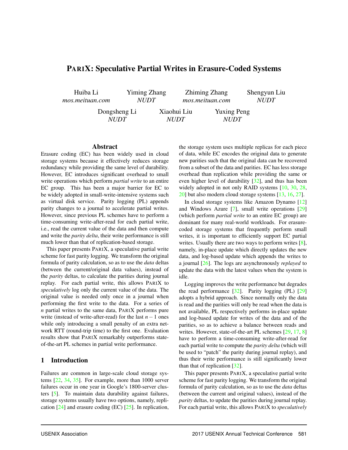# PARIX: Speculative Partial Writes in Erasure-Coded Systems

Huiba Li *mos.meituan.com* Yiming Zhang *NUDT* Zhiming Zhang *mos.meituan.com* Shengyun Liu *NUDT* Dongsheng Li *NUDT* Xiaohui Liu *NUDT* Yuxing Peng *NUDT*

#### Abstract

Erasure coding (EC) has been widely used in cloud storage systems because it effectively reduces storage redundancy while providing the same level of durability. However, EC introduces significant overhead to small write operations which perform *partial write* to an entire EC group. This has been a major barrier for EC to be widely adopted in small-write-intensive systems such as virtual disk service. Parity logging (PL) appends parity changes to a journal to accelerate partial writes. However, since previous PL schemes have to perform a time-consuming write-after-read for each partial write, i.e., read the current value of the data and then compute and write the *parity delta*, their write performance is still much lower than that of replication-based storage.

This paper presents PARIX, a speculative partial write scheme for fast parity logging. We transform the original formula of parity calculation, so as to use the *data* deltas (between the current/original data values), instead of the *parity* deltas, to calculate the parities during journal replay. For each partial write, this allows PARIX to *speculatively* log only the current value of the data. The original value is needed only once in a journal when performing the first write to the data. For a series of *n* partial writes to the same data, PARIX performs pure write (instead of write-after-read) for the last *n*−1 ones while only introducing a small penalty of an extra network RTT (round-trip time) to the first one. Evaluation results show that PARIX remarkably outperforms stateof-the-art PL schemes in partial write performance.

#### 1 Introduction

Failures are common in large-scale cloud storage systems [22, 34, 35]. For example, more than 1000 server failures occur in one year in Google's 1800-server clusters [5]. To maintain data durability against failures, storage systems usually have two options, namely, replication [24] and erasure coding (EC) [25]. In replication, the storage system uses multiple replicas for each piece of data, while EC encodes the original data to generate new parities such that the original data can be recovered from a subset of the data and parities. EC has less storage overhead than replication while providing the same or even higher level of durability [32], and thus has been widely adopted in not only RAID systems [10, 30, 28, 20] but also modern cloud storage systems [13, 16, 27].

In cloud storage systems like Amazon Dynamo [12] and Windows Azure [7], small write operations [29] (which perform *partial write* to an entire EC group) are dominant for many real-world workloads. For erasurecoded storage systems that frequently perform small writes, it is important to efficiently support EC partial writes. Usually there are two ways to perform writes [8], namely, in-place update which directly updates the new data, and log-based update which appends the writes to a journal [26]. The logs are asynchronously *replayed* to update the data with the latest values when the system is idle.

Logging improves the write performance but degrades the read performance  $[32]$ . Parity logging (PL)  $[29]$ adopts a hybrid approach. Since normally only the data is read and the parities will only be read when the data is not available, PL respectively performs in-place update and log-based update for writes of the data and of the parities, so as to achieve a balance between reads and writes. However, state-of-the-art PL schemes [29, 17, 8] have to perform a time-consuming write-after-read for each partial write to compute the *parity delta* (which will be used to "patch" the parity during journal replay), and thus their write performance is still significantly lower than that of replication [32].

This paper presents PARIX, a speculative partial write scheme for fast parity logging. We transform the original formula of parity calculation, so as to use the *data* deltas (between the current and original values), instead of the *parity* deltas, to update the parities during journal replay. For each partial write, this allows PARIX to *speculatively*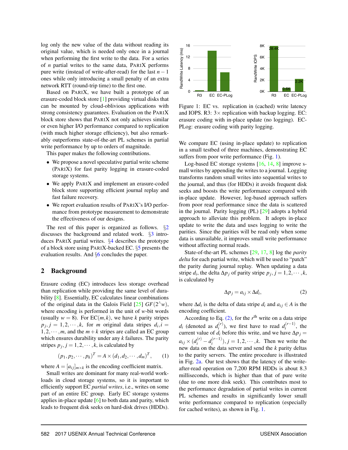log only the new value of the data without reading its original value, which is needed only once in a journal when performing the first write to the data. For a series of *n* partial writes to the same data, PARIX performs pure write (instead of write-after-read) for the last *n*−1 ones while only introducing a small penalty of an extra network RTT (round-trip time) to the first one.

Based on PARIX, we have built a prototype of an erasure-coded block store [1] providing virtual disks that can be mounted by cloud-oblivious applications with strong consistency guarantees. Evaluation on the PARIX block store shows that PARIX not only achieves similar or even higher I/O performance compared to replication (with much higher storage efficiency), but also remarkably outperforms state-of-the-art PL schemes in partial write performance by up to orders of magnitude.

This paper makes the following contributions.

- We propose a novel speculative partial write scheme (PARIX) for fast parity logging in erasure-coded storage systems.
- We apply PARIX and implement an erasure-coded block store supporting efficient journal replay and fast failure recovery.
- We report evaluation results of PARIX's I/O performance from prototype measurement to demonstrate the effectiveness of our designs.

The rest of this paper is organized as follows.  $\S2$ discusses the background and related work. §3 introduces PARIX partial writes.  $\S 4$  describes the prototype of a block store using PARIX-backed EC. §5 presents the evaluation results. And §6 concludes the paper.

#### 2 Background

Erasure coding (EC) introduces less storage overhead than replication while providing the same level of durability [8]. Essentially, EC calculates linear combinations of the original data in the Galois Field  $[25]$   $GF(2^{\wedge}w)$ , where encoding is performed in the unit of *w*-bit words (usually  $w = 8$ ). For EC(*m*, *k*), we have *k* parity stripes  $p_j$ ,  $j = 1, 2, \dots, k$ , for *m* original data stripes  $d_i$ ,  $i =$ 1,2, $\cdots$ ,*m*, and the *m* + *k* stripes are called an EC group which ensures durability under any *k* failures. The parity stripes  $p_j$ ,  $j = 1, 2, \dots, k$ , is calculated by

$$
(p_1, p_2, \cdots, p_k)^T = A \times (d_1, d_2, \cdots, d_m)^T, \qquad (1)
$$

where  $A = [a_{ij}]_{m \times k}$  is the encoding coefficient matrix.

Small writes are dominant for many real-world workloads in cloud storage systems, so it is important to efficiently support EC *partial writes*, i.e., writes on some part of an entire EC group. Early EC storage systems applies in-place update  $[6]$  to both data and parity, which leads to frequent disk seeks on hard-disk drives (HDDs).



Figure 1: EC vs. replication in (cached) write latency and IOPS. R3:  $3 \times$  replication with backup logging. EC: erasure coding with in-place update (no logging). EC-PLog: erasure coding with parity logging.

We compare EC (using in-place update) to replication in a small testbed of three machines, demonstrating EC suffers from poor write performance (Fig. 1).

Log-based EC storage systems [16, 14, 8] improve small writes by appending the writes to a journal. Logging transforms random small writes into sequential writes to the journal, and thus (for HDDs) it avoids frequent disk seeks and boosts the write performance compared with in-place update. However, log-based approach suffers from poor read performance since the data is scattered in the journal. Parity logging (PL) [29] adopts a hybrid approach to alleviate this problem. It adopts in-place update to write the data and uses logging to write the parities. Since the parities will be read only when some data is unavailable, it improves small write performance without affecting normal reads.

State-of-the-art PL schemes [29, 17, 8] log the *parity delta* for each partial write, which will be used to "patch" the parity during journal replay. When updating a data stripe  $d_i$ , the delta  $\Delta p_j$  of parity stripe  $p_j$ ,  $j = 1, 2, \dots, k$ , is calculated by

$$
\Delta p_j = a_{ij} \times \Delta d_i,\tag{2}
$$

where  $\Delta d_i$  is the delta of data stripe  $d_i$  and  $a_{ij} \in A$  is the encoding coefficient.

According to Eq.  $(2)$ , for the  $r<sup>th</sup>$  write on a data stripe  $d_i$  (denoted as  $d_i^{(r)}$  $i^{(r)}$ ), we first have to read  $d_i^{(r-1)}$  $\int_{i}^{(r-1)}$ , the current value of  $d_i$  before this write, and we have  $\Delta p_j =$  $a_{ij} \times (d_i^{(r)} - d_i^{(r-1)})$  $(i^{(r-1)}), j = 1, 2, \dots, k$ . Then we write the new data on the data server and send the *k* parity deltas to the parity servers. The entire procedure is illustrated in Fig. 2a. Our test shows that the latency of the writeafter-read operation on 7,200 RPM HDDs is about 8.3 milliseconds, which is higher than that of pure write (due to one more disk seek). This contributes most to the performance degradation of partial writes in current PL schemes and results in significantly lower small write performance compared to replication (especially for cached writes), as shown in Fig. 1.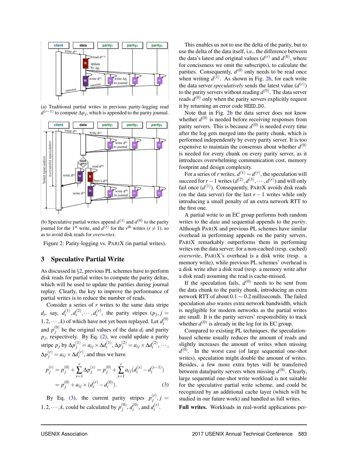

(a) Traditional partial writes in previous parity-logging read *d*<sup>(*r*−1)</sup> to compute ∆*p*<sub>*j*</sub>, which is appended to the parity journal.



(b) Speculative partial writes append  $d^{(1)}$  and  $d^{(0)}$  to the parity journal for the 1<sup>st</sup> write, and  $d^{(r)}$  for the *r*<sup>th</sup> writes ( $r \neq 1$ ), so as to avoid disk reads for *overwrites*.

Figure 2: Parity-logging vs. PARIX (in partial writes).

# 3 Speculative Partial Write

As discussed in §2, previous PL schemes have to perform disk reads for partial writes to compute the parity deltas, which will be used to update the parities during journal replay. Clearly, the key to improve the performance of partial writes is to reduce the number of reads.

Consider a series of *r* writes to the same data stripe  $d_i$ , say,  $d_i^{(1)}$  $a_i^{(1)}, d_i^{(2)}$  $a_i^{(2)}, \cdots, a_i^{(r)}$  $i^{(r)}$ , the parity stripes  $(p_j, j = j)$  $1, 2, \cdots, k$ ) of which have not yet been replayed. Let  $d_i^{(0)}$ *i* and  $p_i^{(0)}$  $j^{(0)}$  be the original values of the data  $d_i$  and parity  $p_j$ , respectively. By Eq. (2), we could update a parity stripe *p<sub>j</sub>* by  $\Delta p_j^{(1)} = a_{ij} \times \Delta d_i^{(1)}$ *i*<sup>(1)</sup>,  $\Delta p_j^{(2)} = a_{ij} \times \Delta d_i^{(2)}$  $i^{(2)}, \cdots,$  $\Delta p_j^{(r)} = a_{ij} \times \Delta d_i^{(r)}$  $i^{(1)}$ , and thus we have

$$
p_j^{(r)} = p_j^{(0)} + \sum_{x=1}^r \Delta p_j^{(x)} = p_j^{(0)} + \sum_{x=1}^r a_{ij} (d_i^{(x)} - d_i^{(x-1)})
$$
  
=  $p_j^{(0)} + a_{ij} \times (d_i^{(r)} - d_i^{(0)}).$  (3)

By Eq. (3), the current parity stripes  $p_i^{(r)}$  $j^{(r)}$ ,  $j =$  $1, 2, \cdots, k$ , could be calculated by  $p_i^{(0)}$  $j^{(0)}$ ,  $d_i^{(0)}$  $a_i^{(0)}$ , and  $d_i^{(r)}$ *i* .

This enables us not to use the delta of the parity, but to use the delta of the data itself, i.e., the difference between the data's latest and original values  $(d^{(r)}$  and  $d^{(0)}$ , where for conciseness we omit the subscripts), to calculate the parities. Consequently,  $d^{(0)}$  only needs to be read once when writing  $d^{(1)}$ . As shown in Fig. 2b, for each write the data server *speculatively* sends the latest value  $(d^{(r)})$ to the parity servers without reading  $d^{(0)}$ . The data server reads *d* (0) only when the parity servers explicitly request it by returning an error code NEED D0.

Note that in Fig. 2b the data server does not know whether  $d^{(0)}$  is needed before receiving responses from parity servers. This is because  $d^{(0)}$  is needed every time after the log gets merged into the parity chunk, which is performed independently by every parity server. It is too expensive to maintain the consensus about whether  $d^{(0)}$ is needed for every chunk on every parity server, as it introduces overwhelming communication cost, memory footprint and design complexity.

For a series of *r* writes,  $d^{(1)} \sim d^{(r)}$ , the speculation will succeed for *r* − 1 writes  $(d^{(2)}, d^{(3)}, \cdots, d^{(r)})$  and will only fail once  $(d^{(1)})$ . Consequently, PARIX avoids disk reads (on the data server) for the last  $r - 1$  writes while only introducing a small penalty of an extra network RTT to the first one.

A partial write to an EC group performs both random writes to the *data* and sequential appends to the *parity*. Although PARIX and previous PL schemes have similar overhead in performing appends on the parity servers, PARIX remarkably outperforms them in performing writes on the data server: for a non-cached (resp. cached) *overwrite*, PARIX's overhead is a disk write (resp. a memory write), while previous PL schemes' overhead is a disk write after a disk read (resp. a memory write after a disk read) assuming the read is cache-missed.

If the speculation fails,  $d^{(0)}$  needs to be sent from the data chunk to the parity chunk, introducing an extra network RTT of about 0.1 ∼ 0.2 milliseconds. The failed speculation also wastes extra network bandwidth, which is negligible for modern networks as the partial writes are small. It is the parity servers' responsibility to track whether  $d^{(0)}$  is already in the log for its EC group.

Compared to existing PL techniques, the speculationbased scheme usually reduces the amount of reads and slightly increases the amount of writes when missing  $d^{(0)}$ . In the worst case (of large sequential one-shot writes), speculation might double the amount of writes. Besides, a few more extra bytes will be transferred between data/parity servers when missing  $d^{(0)}$ . Clearly, large sequential one-shot write workload is not suitable for the speculative partial write scheme, and could be recognized by an additional cache layer (which will be studied in our future work) and handled as full writes.

Full writes. Workloads in real-world applications per-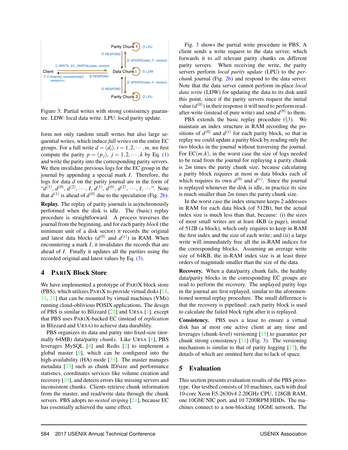

Figure 3: Partial writes with strong consistency guarantee. LDW: local data write. LPU: local parity update.

form not only random small writes but also large sequential writes, which induce *full writes* on the entire EC groups. For a full write  $d = (d_i)$ ,  $i = 1, 2, \dots, m$ , we first compute the parity  $p = (p_i)$ ,  $j = 1, 2, \dots, k$  by Eq. (1) and write the parity into the corresponding parity servers. We then invalidate previous logs for the EC group in the journal by appending a special mark *I*. Therefore, the logs for data *d* on the parity journal are in the form of " $d^{(1)}$ ,  $d^{(0)}$ ,  $d^{(2)}$ , ..., *I*,  $d^{(1)}$ ,  $d^{(0)}$ ,  $d^{(2)}$ , ..., *I*, ...". Note that  $d^{(1)}$  is ahead of  $d^{(0)}$  due to the speculation (Fig. 2b).

Replay. The replay of parity journals is asynchronously performed when the disk is idle. The (basic) replay procedure is straightforward. A process traverses the journal from the beginning, and for each parity *block* (the minimum unit of a disk sector) it records the original and latest data blocks  $(d^{(0)}$  and  $d^{(r)}$ ) in RAM. When encountering a mark *I*, it invalidates the records that are ahead of *I*. Finally it updates all the parities using the recorded original and latest values by Eq. (3).

## 4 PARIX Block Store

We have implemented a prototype of PARIX block store (PBS), which utilizes PARIX to provide virtual disks  $[18, 18]$ 31, 21] that can be mounted by virtual machines (VMs) running cloud-oblivious POSIX applications. The design of PBS is similar to Blizzard [21] and URSA [1], except that PBS uses PARIX-backed EC (instead of *replication* in Blizzard and URSA) to achieve data durability.

PBS organizes its data and parity into fixed-size (normally 64MB) data/parity *chunks*. Like URSA [1], PBS leverages MySQL [4] and Redis [2] to implement a global master  $[9]$ , which can be configured into the high-availability (HA) mode  $[33]$ . The master manages metadata [23] such as chunk ID/size and performance statistics, coordinates services like volume creation and recovery [19], and detects errors like missing servers and inconsistent chunks. Clients retrieve chunk information from the master, and read/write data through the chunk servers. PBS adopts no *nested striping* [21], because EC has essentially achieved the same effect.

Fig. 3 shows the partial write procedure in PBS. A client sends a write request to the data server, which forwards it to *all* relevant parity chunks on different parity servers. When receiving the write, the parity servers perform *local parity update* (LPU) to the *perchunk* journal (Fig. 2b) and respond to the data server. Note that the data server cannot perform in-place *local data write* (LDW) for updating the data to its disk until this point, since if the parity servers request the initial value  $(d^{(0)})$  in their response it will need to perform readafter-write (instead of pure write) and send  $d^{(0)}$  to them.

PBS extends the basic replay procedure  $(\S3)$ . We maintain an index structure in RAM recording the positions of  $d^{(0)}$  and  $d^{(r)}$  for each parity block, so that in replay we could update a parity block by reading only the two blocks in the journal without traversing the journal. For  $EC(m, k)$ , in the worst case the size of logs needed to be read from the journal for replaying a parity chunk is 2*m* times the parity chunk size, because calculating a parity block requires at most *m* data blocks each of which requires its own  $d^{(0)}$  and  $d^{(r)}$ . Since the journal is replayed whenever the disk is idle, in practice its size is much smaller than 2*m* times the parity chunk size.

In the worst case the index structure keeps 2 addresses in RAM for each data block (of 512B), but the actual index size is much less than that, because: (i) the sizes of most small writes are at least 4KB (a page), instead of 512B (a block), which only requires to keep in RAM the first index and the size of each write; and (ii) a large write will immediately free all the in-RAM indices for the corresponding blocks. Assuming an average write size of 64KB, the in-RAM index size is at least three orders of magnitude smaller than the size of the data.

Recovery. When a data/parity chunk fails, the healthy data/parity blocks in the corresponding EC groups are read to perform the recovery. The unplayed parity logs in the journal are first replayed, similar to the aforementioned normal replay procedure. The small difference is that the recovery is pipelined: each parity block is used to calculate the failed block right after it is replayed.

Consistency. PBS uses a lease to ensure a virtual disk has at most one active client at any time and leverages (chunk-level) versioning [15] to guarantee per chunk strong consistency  $[11]$  (Fig. 3). The versioning mechanism is similar to that of parity logging [17], the details of which are omitted here due to lack of space.

## 5 Evaluation

This section presents evaluation results of the PBS prototype. Our testbed consists of 10 machines, each with dual 10-core Xeon E5-2630v4 2.20GHz CPU, 128GB RAM, one 10GbE NIC port, and 10 7200RPM HDDs. The machines connect to a non-blocking 10GbE network. The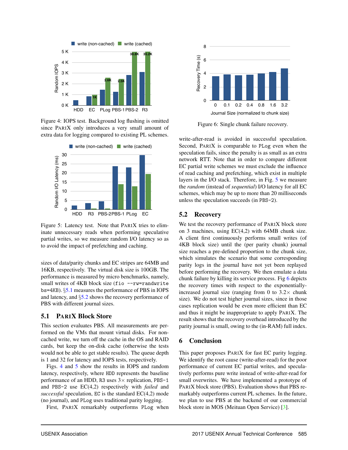

Figure 4: IOPS test. Background log flushing is omitted since PARIX only introduces a very small amount of extra data for logging compared to existing PL schemes.



Figure 5: Latency test. Note that PARIX tries to eliminate unnecessary reads when performing speculative partial writes, so we measure random I/O latency so as to avoid the impact of prefetching and caching.

sizes of data/parity chunks and EC stripes are 64MB and 16KB, respectively. The virtual disk size is 100GB. The performance is measured by micro benchmarks, namely, small writes of 4KB block size (fio --rw=randwrite bs=4KB). §5.1 measures the performance of PBS in IOPS and latency, and  $\S$ 5.2 shows the recovery performance of PBS with different journal sizes.

# 5.1 PARIX Block Store

This section evaluates PBS. All measurements are performed on the VMs that mount virtual disks. For noncached write, we turn off the cache in the OS and RAID cards, but keep the on-disk cache (otherwise the tests would not be able to get stable results). The queue depth is 1 and 32 for latency and IOPS tests, respectively.

Figs. 4 and 5 show the results in IOPS and random latency, respectively, where HDD represents the baseline performance of an HDD, R3 uses  $3 \times$  replication, PBS-1 and PBS-2 use EC(4,2) respectively with *failed* and *successful* speculation, EC is the standard EC(4,2) mode (no journal), and PLog uses traditional parity logging.

First, PARIX remarkably outperforms PLog when



Figure 6: Single chunk failure recovery.

write-after-read is avoided in successful speculation. Second, PARIX is comparable to PLog even when the speculation fails, since the penalty is as small as an extra network RTT. Note that in order to compare different EC partial write schemes we must exclude the influence of read caching and prefetching, which exist in multiple layers in the I/O stack. Therefore, in Fig. 5 we measure the *random* (instead of *sequential*) I/O latency for all EC schemes, which may be up to more than 20 milliseconds unless the speculation succeeds (in PBS-2).

#### 5.2 Recovery

We test the recovery performance of PARIX block store on 3 machines, using EC(4,2) with 64MB chunk size. A client first continuously performs small writes (of 4KB block size) until the (per parity chunk) journal size reaches a pre-defined proportion to the chunk size, which simulates the scenario that some corresponding parity logs in the journal have not yet been replayed before performing the recovery. We then emulate a data chunk failure by killing its service process. Fig 6 depicts the recovery times with respect to the exponentiallyincreased journal size (ranging from 0 to  $3.2\times$  chunk size). We do not test higher journal sizes, since in those cases replication would be even more efficient than EC and thus it might be inappropriate to apply PARIX. The result shows that the recovery overhead introduced by the parity journal is small, owing to the (in-RAM) full index.

## 6 Conclusion

This paper proposes PARIX for fast EC parity logging. We identify the root cause (write-after-read) for the poor performance of current EC partial writes, and speculatively performs pure write instead of write-after-read for small overwrites. We have implemented a prototype of PARIX block store (PBS). Evaluation shows that PBS remarkably outperforms current PL schemes. In the future, we plan to use PBS at the backend of our commercial block store in MOS (Meituan Open Service) [3].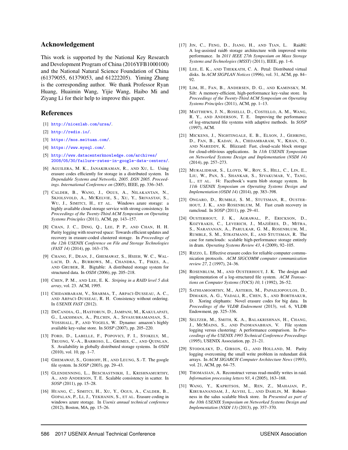#### Acknowledgement

This work is supported by the National Key Research and Development Program of China (2016YFB1000100) and the National Natural Science Foundation of China (61379055, 61379053, and 61222205). Yiming Zhang is the corresponding author. We thank Professor Ryan Huang, Huaimin Wang, Yijie Wang, Haibo Mi and Ziyang Li for their help to improve this paper.

#### References

- [1] <http://nicexlab.com/ursa/>.
- [2] <http://redis.io/>.
- [3] <https://mos.meituan.com/>.
- [4] <https://www.mysql.com/>.
- [5] [http://www.datacenterknowledge.com/archives/](http://www.datacenterknowledge.com/archives/2008/05/30/failure-rates-in-google-data-centers/) [2008/05/30/failure-rates-in-google-data-centers/](http://www.datacenterknowledge.com/archives/2008/05/30/failure-rates-in-google-data-centers/).
- [6] AGUILERA, M. K., JANAKIRAMAN, R., AND XU, L. Using erasure codes efficiently for storage in a distributed system. In *Dependable Systems and Networks, 2005. DSN 2005. Proceedings. International Conference on* (2005), IEEE, pp. 336–345.
- [7] CALDER, B., WANG, J., OGUS, A., NILAKANTAN, N., SKJOLSVOLD, A., MCKELVIE, S., XU, Y., SRIVASTAV, S., WU, J., SIMITCI, H., ET AL. Windows azure storage: a highly available cloud storage service with strong consistency. In *Proceedings of the Twenty-Third ACM Symposium on Operating Systems Principles* (2011), ACM, pp. 143–157.
- [8] CHAN, J. C., DING, Q., LEE, P. P., AND CHAN, H. H. Parity logging with reserved space: Towards efficient updates and recovery in erasure-coded clustered storage. In *Proceedings of the 12th USENIX Conference on File and Storage Technologies (FAST 14)* (2014), pp. 163–176.
- [9] CHANG, F., DEAN, J., GHEMAWAT, S., HSIEH, W. C., WAL-LACH, D. A., BURROWS, M., CHANDRA, T., FIKES, A., AND GRUBER, R. Bigtable: A distributed storage system for structured data. In *OSDI* (2006), pp. 205–218.
- [10] CHEN, P. M., AND LEE, E. K. *Striping in a RAID level 5 disk array*, vol. 23. ACM, 1995.
- [11] CHIDAMBARAM, V., SHARMA, T., ARPACI-DUSSEAU, A. C., AND ARPACI-DUSSEAU, R. H. Consistency without ordering. In *USENIX FAST* (2012).
- [12] DECANDIA, G., HASTORUN, D., JAMPANI, M., KAKULAPATI, G., LAKSHMAN, A., PILCHIN, A., SIVASUBRAMANIAN, S., VOSSHALL, P., AND VOGELS, W. Dynamo: amazon's highly available key-value store. In *SOSP* (2007), pp. 205–220.
- [13] FORD, D., LABELLE, F., POPOVICI, F. I., STOKELY, M., TRUONG, V.-A., BARROSO, L., GRIMES, C., AND QUINLAN, S. Availability in globally distributed storage systems. In *OSDI* (2010), vol. 10, pp. 1–7.
- [14] GHEMAWAT, S., GOBIOFF, H., AND LEUNG, S.-T. The google file system. In *SOSP* (2003), pp. 29–43.
- [15] GLENDENNING, L., BESCHASTNIKH, I., KRISHNAMURTHY, A., AND ANDERSON, T. E. Scalable consistency in scatter. In *SOSP* (2011), pp. 15–28.
- [16] HUANG, C., SIMITCI, H., XU, Y., OGUS, A., CALDER, B., GOPALAN, P., LI, J., YEKHANIN, S., ET AL. Erasure coding in windows azure storage. In *Usenix annual technical conference* (2012), Boston, MA, pp. 15–26.
- [17] JIN, C., FENG, D., JIANG, H., AND TIAN, L. Raid6l: A log-assisted raid6 storage architecture with improved write performance. In *2011 IEEE 27th Symposium on Mass Storage Systems and Technologies (MSST)* (2011), IEEE, pp. 1–6.
- [18] LEE, E. K., AND THEKKATH, C. A. Petal: Distributed virtual disks. In *ACM SIGPLAN Notices* (1996), vol. 31, ACM, pp. 84– 92.
- [19] LIM, H., FAN, B., ANDERSEN, D. G., AND KAMINSKY, M. Silt: A memory-efficient, high-performance key-value store. In *Proceedings of the Twenty-Third ACM Symposium on Operating Systems Principles* (2011), ACM, pp. 1–13.
- [20] MATTHEWS, J. N., ROSELLI, D., COSTELLO, A. M., WANG, R. Y., AND ANDERSON, T. E. Improving the performance of log-structured file systems with adaptive methods. In *SOSP* (1997), ACM.
- [21] MICKENS, J., NIGHTINGALE, E. B., ELSON, J., GEHRING, D., FAN, B., KADAV, A., CHIDAMBARAM, V., KHAN, O., AND NAREDDY, K. Blizzard: Fast, cloud-scale block storage for cloud-oblivious applications. In *11th USENIX Symposium on Networked Systems Design and Implementation (NSDI 14)* (2014), pp. 257–273.
- [22] MURALIDHAR, S., LLOYD, W., ROY, S., HILL, C., LIN, E., LIU, W., PAN, S., SHANKAR, S., SIVAKUMAR, V., TANG, L., ET AL. f4: Facebook's warm blob storage system. In *11th USENIX Symposium on Operating Systems Design and Implementation (OSDI 14)* (2014), pp. 383–398.
- [23] ONGARO, D., RUMBLE, S. M., STUTSMAN, R., OUSTER-HOUT, J. K., AND ROSENBLUM, M. Fast crash recovery in ramcloud. In *SOSP* (2011), pp. 29–41.
- [24] OUSTERHOUT, J. K., AGRAWAL, P., ERICKSON, D., KOZYRAKIS, C., LEVERICH, J., MAZIÈRES, D., MITRA, S., NARAYANAN, A., PARULKAR, G. M., ROSENBLUM, M., RUMBLE, S. M., STRATMANN, E., AND STUTSMAN, R. The case for ramclouds: scalable high-performance storage entirely in dram. *Operating Systems Review 43*, 4 (2009), 92–105.
- [25] RIZZO, L. Effective erasure codes for reliable computer communication protocols. *ACM SIGCOMM computer communication review 27*, 2 (1997), 24–36.
- [26] ROSENBLUM, M., AND OUSTERHOUT, J. K. The design and implementation of a log-structured file system. *ACM Transactions on Computer Systems (TOCS) 10*, 1 (1992), 26–52.
- [27] SATHIAMOORTHY, M., ASTERIS, M., PAPAILIOPOULOS, D., DIMAKIS, A. G., VADALI, R., CHEN, S., AND BORTHAKUR, D. Xoring elephants: Novel erasure codes for big data. In *Proceedings of the VLDB Endowment* (2013), vol. 6, VLDB Endowment, pp. 325–336.
- [28] SELTZER, M., SMITH, K. A., BALAKRISHNAN, H., CHANG, J., MCMAINS, S., AND PADMANABHAN, V. File system logging versus clustering: A performance comparison. In *Proceedings of the USENIX 1995 Technical Conference Proceedings* (1995), USENIX Association, pp. 21–21.
- [29] STODOLSKY, D., GIBSON, G., AND HOLLAND, M. Parity logging overcoming the small write problem in redundant disk arrays. In *ACM SIGARCH Computer Architecture News* (1993), vol. 21, ACM, pp. 64–75.
- [30] THOMASIAN, A. Reconstruct versus read-modify writes in raid. *Information processing letters 93*, 4 (2005), 163–168.
- [31] WANG, Y., KAPRITSOS, M., REN, Z., MAHAJAN, P., KIRUBANANDAM, J., ALVISI, L., AND DAHLIN, M. Robustness in the salus scalable block store. In *Presented as part of the 10th USENIX Symposium on Networked Systems Design and Implementation (NSDI 13)* (2013), pp. 357–370.